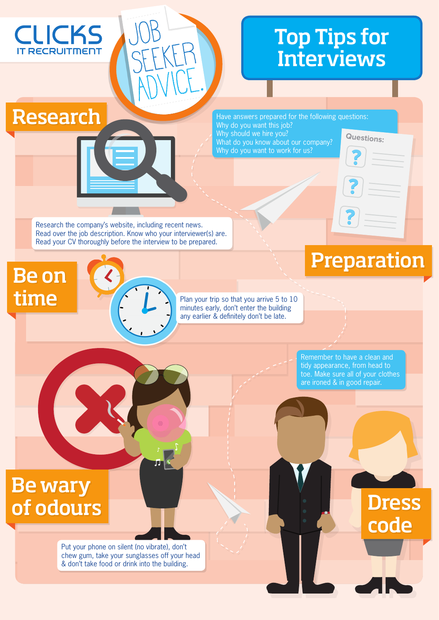# Top Tips for **Interviews**

Have answers prepared for the following questions: Why do you want this job? Why should we hire you? What do you know about our company? Why do you want to work for us? **Questions:**

Research the company's website, including recent news. Read over the job description. Know who your interviewer(s) are. Read your CV thoroughly before the interview to be prepared.

Job

SEEKER

ADVICE.

### Be on time

Research

**CLICKS** 

**RECRUITMENT** 

П

Plan your trip so that you arrive 5 to 10 minutes early, don't enter the building any earlier & definitely don't be late.

> Remember to have a clean and tidy appearance, from head to toe. Make sure all of your clothes are ironed & in good repair.

Preparation

## Be wary of odours

**C** 

Put your phone on silent (no vibrate), don't chew gum, take your sunglasses off your head & don't take food or drink into the building.

Dress code